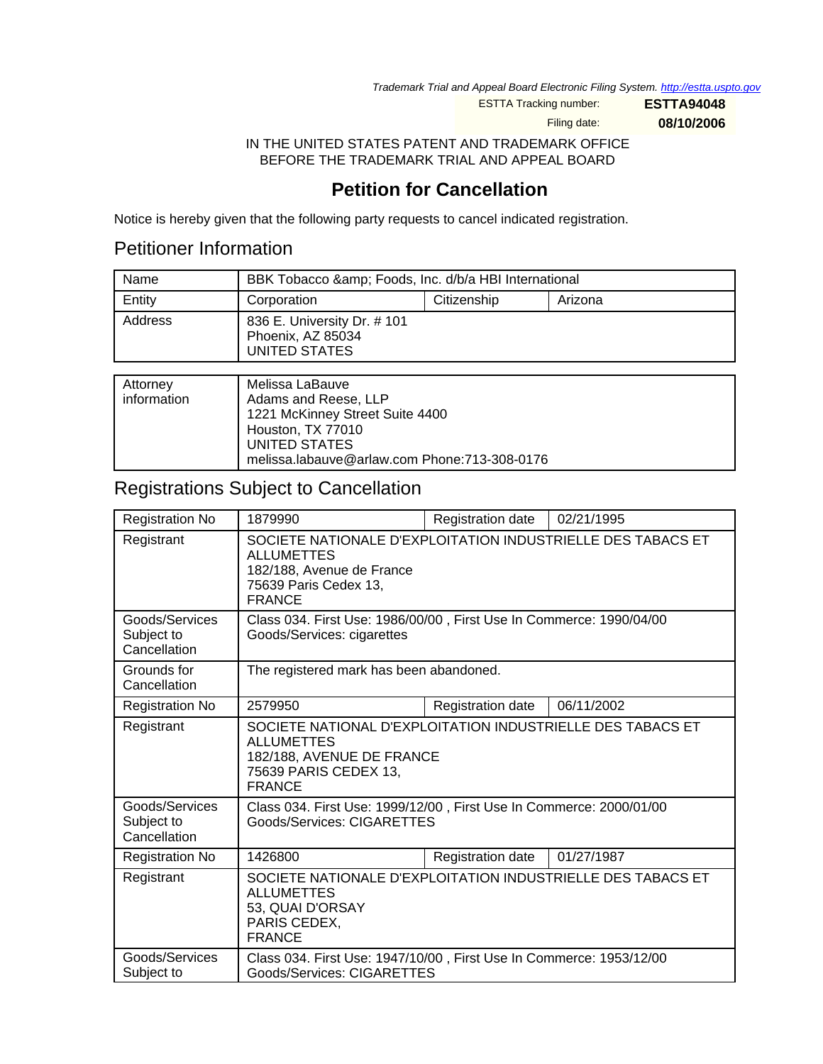Trademark Trial and Appeal Board Electronic Filing System. <http://estta.uspto.gov>

ESTTA Tracking number: **ESTTA94048**

Filing date: **08/10/2006**

IN THE UNITED STATES PATENT AND TRADEMARK OFFICE BEFORE THE TRADEMARK TRIAL AND APPEAL BOARD

## **Petition for Cancellation**

Notice is hereby given that the following party requests to cancel indicated registration.

## Petitioner Information

| Name    | BBK Tobacco & amp; Foods, Inc. d/b/a HBI International            |             |         |
|---------|-------------------------------------------------------------------|-------------|---------|
| Entity  | Corporation                                                       | Citizenship | Arizona |
| Address | 836 E. University Dr. # 101<br>Phoenix, AZ 85034<br>UNITED STATES |             |         |

| Attorney<br>information | Melissa LaBauve<br>Adams and Reese, LLP<br>1221 McKinney Street Suite 4400<br>Houston, TX 77010 |
|-------------------------|-------------------------------------------------------------------------------------------------|
|                         | UNITED STATES                                                                                   |
|                         | melissa.labauve@arlaw.com Phone:713-308-0176                                                    |

# Registrations Subject to Cancellation

| <b>Registration No</b>                       | 1879990                                                                                                                                                 | Registration date | 02/21/1995 |
|----------------------------------------------|---------------------------------------------------------------------------------------------------------------------------------------------------------|-------------------|------------|
| Registrant                                   | SOCIETE NATIONALE D'EXPLOITATION INDUSTRIELLE DES TABACS ET<br><b>ALLUMETTES</b><br>182/188, Avenue de France<br>75639 Paris Cedex 13,<br><b>FRANCE</b> |                   |            |
| Goods/Services<br>Subject to<br>Cancellation | Class 034. First Use: 1986/00/00, First Use In Commerce: 1990/04/00<br>Goods/Services: cigarettes                                                       |                   |            |
| Grounds for<br>Cancellation                  | The registered mark has been abandoned.                                                                                                                 |                   |            |
| <b>Registration No</b>                       | 2579950                                                                                                                                                 | Registration date | 06/11/2002 |
| Registrant                                   | SOCIETE NATIONAL D'EXPLOITATION INDUSTRIELLE DES TABACS ET<br><b>ALLUMETTES</b><br>182/188, AVENUE DE FRANCE<br>75639 PARIS CEDEX 13,<br><b>FRANCE</b>  |                   |            |
| Goods/Services<br>Subject to<br>Cancellation | Class 034. First Use: 1999/12/00, First Use In Commerce: 2000/01/00<br>Goods/Services: CIGARETTES                                                       |                   |            |
| <b>Registration No</b>                       | 1426800                                                                                                                                                 | Registration date | 01/27/1987 |
| Registrant                                   | SOCIETE NATIONALE D'EXPLOITATION INDUSTRIELLE DES TABACS ET<br><b>ALLUMETTES</b><br>53, QUAI D'ORSAY<br>PARIS CEDEX,<br><b>FRANCE</b>                   |                   |            |
| Goods/Services<br>Subject to                 | Class 034. First Use: 1947/10/00, First Use In Commerce: 1953/12/00<br>Goods/Services: CIGARETTES                                                       |                   |            |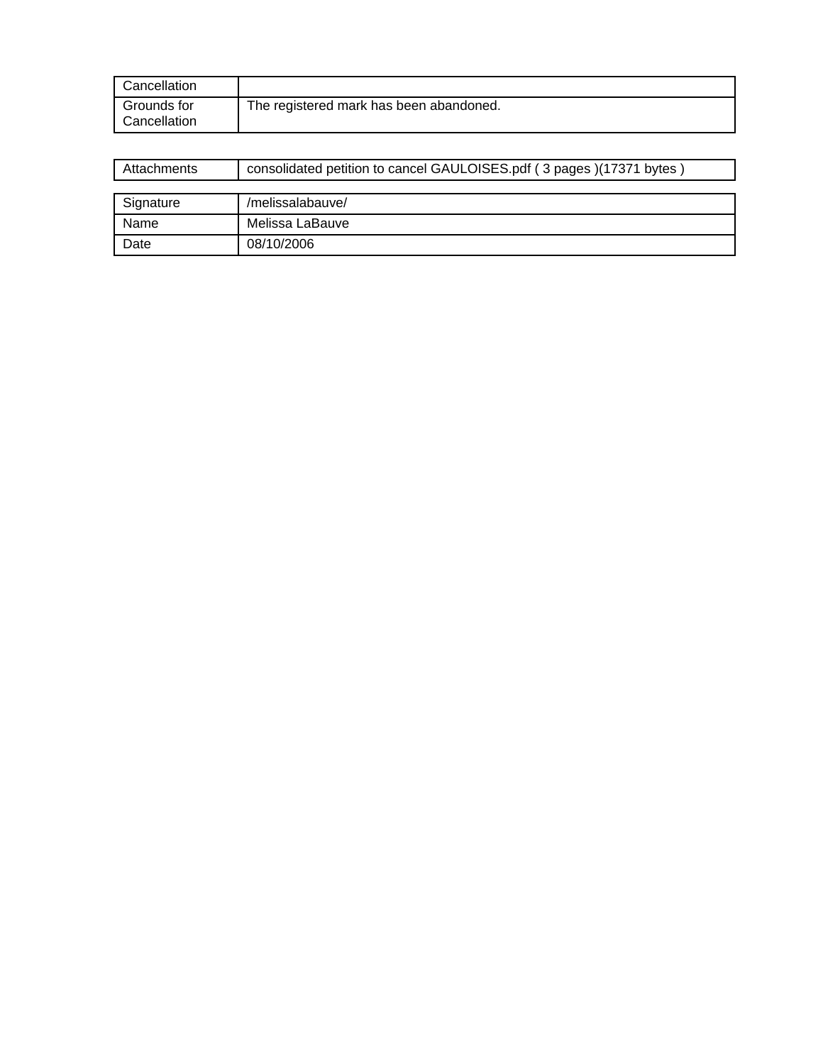| Cancellation                |                                         |
|-----------------------------|-----------------------------------------|
| Grounds for<br>Cancellation | The registered mark has been abandoned. |

| Attachments | consolidated petition to cancel GAULOISES.pdf (3 pages)(17371 bytes) |  |
|-------------|----------------------------------------------------------------------|--|
|             |                                                                      |  |
| Signature   | /melissalabauve/                                                     |  |
| Name        | Melissa LaBauve                                                      |  |
| Date        | 08/10/2006                                                           |  |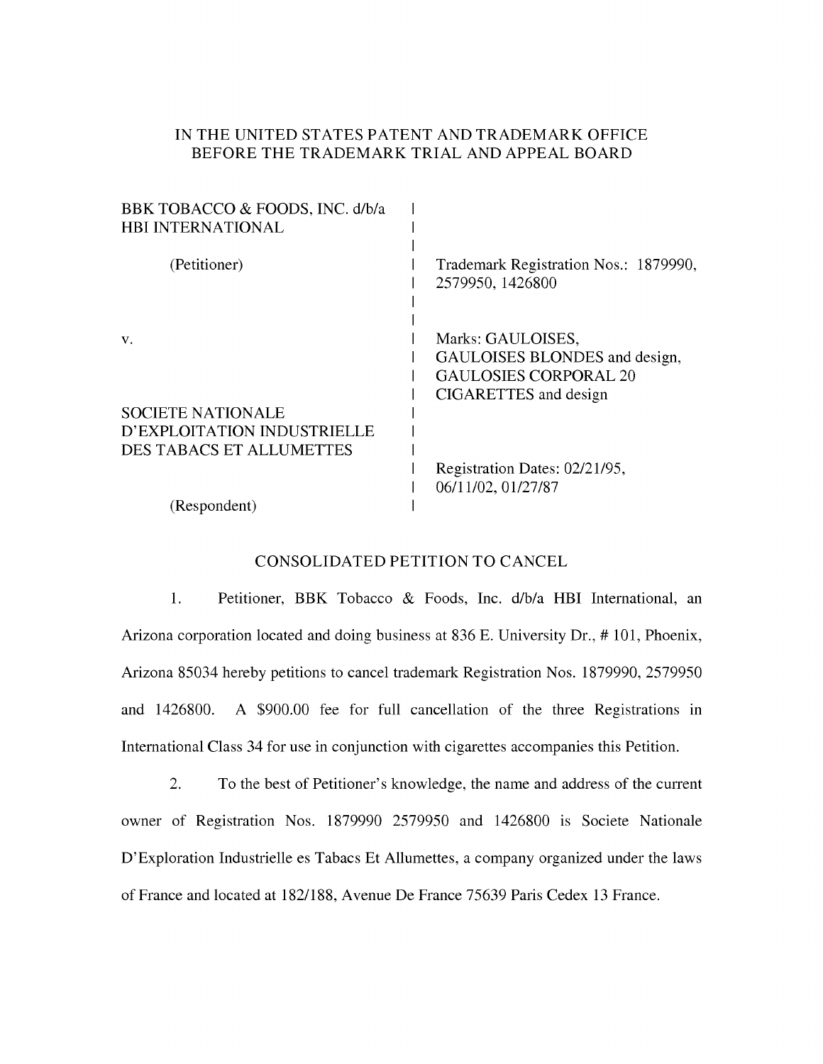### IN THE UNITED STATES PATENT AND TRADEMARK OFFICE BEFORE THE TRADEMARK TRIAL AND APPEAL BOARD

| BBK TOBACCO & FOODS, INC. d/b/a<br><b>HBI INTERNATIONAL</b>                                |                                                                                                             |
|--------------------------------------------------------------------------------------------|-------------------------------------------------------------------------------------------------------------|
| (Petitioner)                                                                               | Trademark Registration Nos.: 1879990,<br>2579950, 1426800                                                   |
| V.                                                                                         | Marks: GAULOISES,<br>GAULOISES BLONDES and design,<br><b>GAULOSIES CORPORAL 20</b><br>CIGARETTES and design |
| <b>SOCIETE NATIONALE</b><br>D'EXPLOITATION INDUSTRIELLE<br><b>DES TABACS ET ALLUMETTES</b> |                                                                                                             |
|                                                                                            | Registration Dates: 02/21/95,<br>06/11/02, 01/27/87                                                         |
| (Respondent)                                                                               |                                                                                                             |

#### CONSOLIDATED PETITION TO CANCEL

1. Petitioner, BBK Tobacco & Foods, Inc. d/b/a HBI International, an Arizona corporation located and doing business at 836 E. University Dr., #101, Phoenix, Arizona 85034 hereby petitions to cancel trademark Registration Nos. 1879990, 2579950 and 1426800. A \$900.00 fee for full cancellation of the three Registrations in International Class 34 for use in conjunction with cigarettes accompanies this Petition.

 $2.$ To the best of Petitioner's knowledge, the name and address of the current owner of Registration Nos. 1879990 2579950 and 1426800 is Societe Nationale D'Exploration Industrielle es Tabacs Et Allumettes, a company organized under the laws of France and located at 182/188, Avenue De France 75639 Paris Cedex 13 France.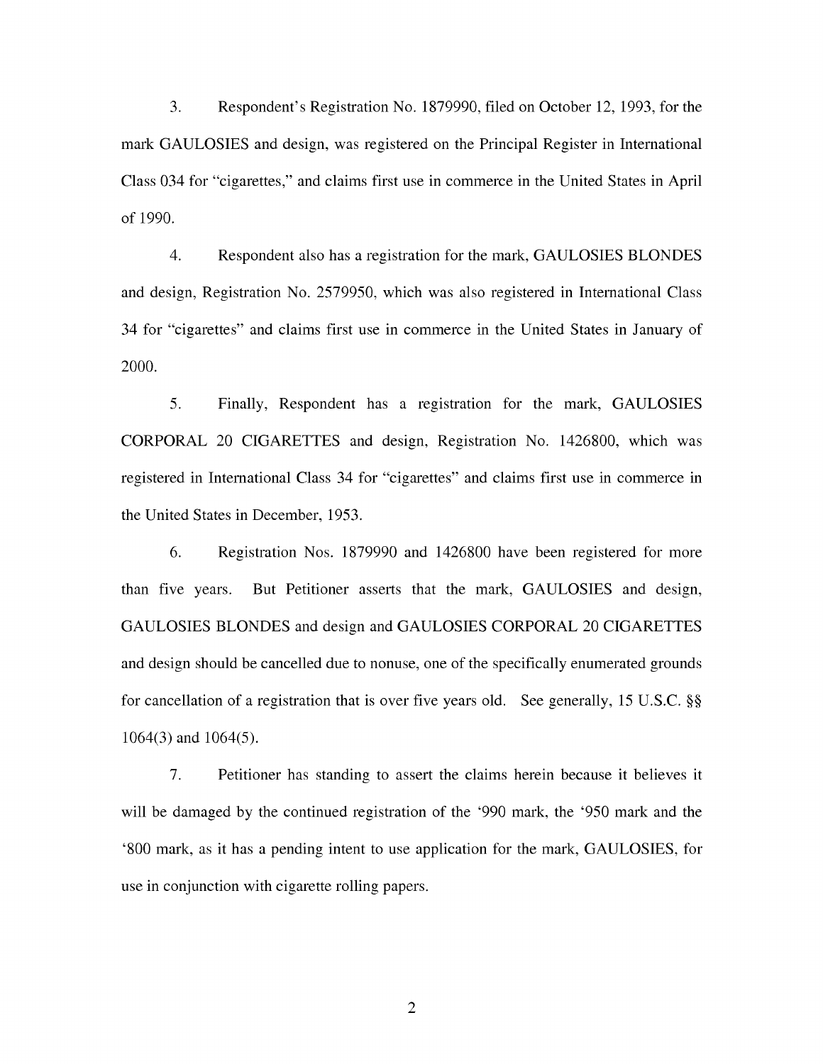Respondent's Registration No. 1879990, filed on October 12, 1993, for the  $3.$ mark GAULOSIES and design, was registered on the Principal Register in International Class 034 for "cigarettes," and claims first use in commerce in the United States in April of 1990.

 $\overline{4}$ Respondent also has a registration for the mark, GAULOSIES BLONDES and design, Registration No. 2579950, which was also registered in International Class 34 for "cigarettes" and claims first use in commerce in the United States in January of  $2000.$ 

5. Finally, Respondent has a registration for the mark, GAULOSIES CORPORAL 20 CIGARETTES and design, Registration No. 1426800, which was registered in International Class 34 for "cigarettes" and claims first use in commerce in the United States in December, 1953.

6. Registration Nos. 1879990 and 1426800 have been registered for more But Petitioner asserts that the mark, GAULOSIES and design, than five years. GAULOSIES BLONDES and design and GAULOSIES CORPORAL 20 CIGARETTES and design should be cancelled due to nonuse, one of the specifically enumerated grounds for cancellation of a registration that is over five years old. See generally, 15 U.S.C. §§  $1064(3)$  and  $1064(5)$ .

7. Petitioner has standing to assert the claims herein because it believes it will be damaged by the continued registration of the '990 mark, the '950 mark and the '800 mark, as it has a pending intent to use application for the mark, GAULOSIES, for use in conjunction with cigarette rolling papers.

 $\overline{2}$